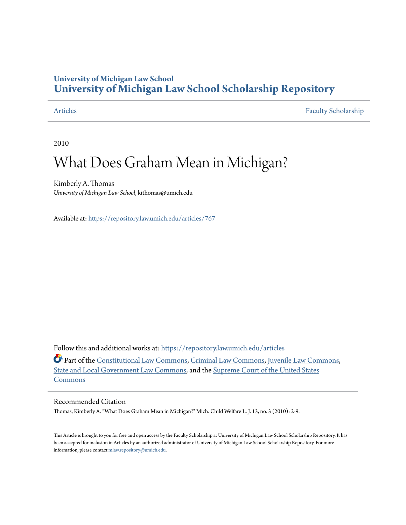### **University of Michigan Law School [University of Michigan Law School Scholarship Repository](https://repository.law.umich.edu?utm_source=repository.law.umich.edu%2Farticles%2F767&utm_medium=PDF&utm_campaign=PDFCoverPages)**

[Articles](https://repository.law.umich.edu/articles?utm_source=repository.law.umich.edu%2Farticles%2F767&utm_medium=PDF&utm_campaign=PDFCoverPages) [Faculty Scholarship](https://repository.law.umich.edu/faculty_scholarship?utm_source=repository.law.umich.edu%2Farticles%2F767&utm_medium=PDF&utm_campaign=PDFCoverPages)

2010

## What Does Graham Mean in Michigan?

Kimberly A. Thomas *University of Michigan Law School*, kithomas@umich.edu

Available at: <https://repository.law.umich.edu/articles/767>

Follow this and additional works at: [https://repository.law.umich.edu/articles](https://repository.law.umich.edu/articles?utm_source=repository.law.umich.edu%2Farticles%2F767&utm_medium=PDF&utm_campaign=PDFCoverPages)

Part of the [Constitutional Law Commons,](http://network.bepress.com/hgg/discipline/589?utm_source=repository.law.umich.edu%2Farticles%2F767&utm_medium=PDF&utm_campaign=PDFCoverPages) [Criminal Law Commons](http://network.bepress.com/hgg/discipline/912?utm_source=repository.law.umich.edu%2Farticles%2F767&utm_medium=PDF&utm_campaign=PDFCoverPages), [Juvenile Law Commons](http://network.bepress.com/hgg/discipline/851?utm_source=repository.law.umich.edu%2Farticles%2F767&utm_medium=PDF&utm_campaign=PDFCoverPages), [State and Local Government Law Commons](http://network.bepress.com/hgg/discipline/879?utm_source=repository.law.umich.edu%2Farticles%2F767&utm_medium=PDF&utm_campaign=PDFCoverPages), and the [Supreme Court of the United States](http://network.bepress.com/hgg/discipline/1350?utm_source=repository.law.umich.edu%2Farticles%2F767&utm_medium=PDF&utm_campaign=PDFCoverPages) [Commons](http://network.bepress.com/hgg/discipline/1350?utm_source=repository.law.umich.edu%2Farticles%2F767&utm_medium=PDF&utm_campaign=PDFCoverPages)

#### Recommended Citation

Thomas, Kimberly A. "What Does Graham Mean in Michigan?" Mich. Child Welfare L. J. 13, no. 3 (2010): 2-9.

This Article is brought to you for free and open access by the Faculty Scholarship at University of Michigan Law School Scholarship Repository. It has been accepted for inclusion in Articles by an authorized administrator of University of Michigan Law School Scholarship Repository. For more information, please contact [mlaw.repository@umich.edu.](mailto:mlaw.repository@umich.edu)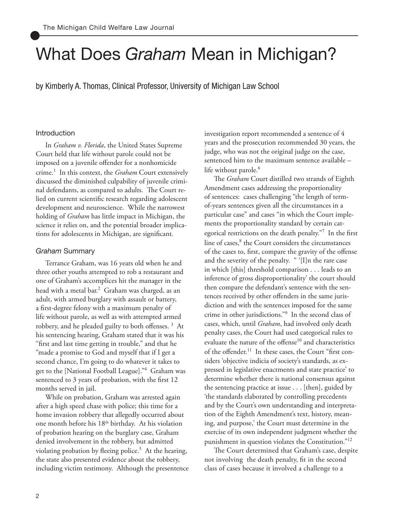# What Does *Graham* Mean in Michigan?

by Kimberly A. Thomas, Clinical Professor, University of Michigan Law School

#### Introduction

In *Graham v. Florida*, the United States Supreme Court held that life without parole could not be imposed on a juvenile offender for a nonhomicide crime.<sup>1</sup> In this context, the *Graham* Court extensively discussed the diminished culpability of juvenile criminal defendants, as compared to adults. The Court relied on current scientific research regarding adolescent development and neuroscience. While the narrowest holding of *Graham* has little impact in Michigan, the science it relies on, and the potential broader implications for adolescents in Michigan, are significant.

#### *Graham* Summary

Terrance Graham, was 16 years old when he and three other youths attempted to rob a restaurant and one of Graham's accomplices hit the manager in the head with a metal bar.<sup>2</sup> Graham was charged, as an adult, with armed burglary with assault or battery, a first-degree felony with a maximum penalty of life without parole, as well as with attempted armed robbery, and he pleaded guilty to both offenses.<sup>3</sup> At his sentencing hearing, Graham stated that it was his "first and last time getting in trouble," and that he "made a promise to God and myself that if I get a second chance, I'm going to do whatever it takes to get to the [National Football League]."<sup>4</sup> Graham was sentenced to 3 years of probation, with the first 12 months served in jail.

While on probation, Graham was arrested again after a high speed chase with police; this time for a home invasion robbery that allegedly occurred about one month before his 18<sup>th</sup> birthday. At his violation of probation hearing on the burglary case, Graham denied involvement in the robbery, but admitted violating probation by fleeing police.<sup>5</sup> At the hearing, the state also presented evidence about the robbery, including victim testimony. Although the presentence investigation report recommended a sentence of 4 years and the prosecution recommended 30 years, the judge, who was not the original judge on the case, sentenced him to the maximum sentence available – life without parole.<sup>6</sup>

The *Graham* Court distilled two strands of Eighth Amendment cases addressing the proportionality of sentences: cases challenging "the length of termof-years sentences given all the circumstances in a particular case" and cases "in which the Court implements the proportionality standard by certain categorical restrictions on the death penalty."<sup>7</sup> In the first line of cases,<sup>8</sup> the Court considers the circumstances of the cases to, first, compare the gravity of the offense and the severity of the penalty. " '[I]n the rare case in which [this] threshold comparison . . . leads to an inference of gross disproportionality' the court should then compare the defendant's sentence with the sentences received by other offenders in the same jurisdiction and with the sentences imposed for the same crime in other jurisdictions."<sup>9</sup> In the second class of cases, which, until *Graham*, had involved only death penalty cases, the Court had used categorical rules to evaluate the nature of the offense $10$  and characteristics of the offender.<sup>11</sup> In these cases, the Court "first considers 'objective indicia of society's standards, as expressed in legislative enactments and state practice' to determine whether there is national consensus against the sentencing practice at issue . . . [then], guided by 'the standards elaborated by controlling precedents and by the Court's own understanding and interpretation of the Eighth Amendment's text, history, meaning, and purpose,' the Court must determine in the exercise of its own independent judgment whether the punishment in question violates the Constitution."<sup>12</sup>

The Court determined that Graham's case, despite not involving the death penalty, fit in the second class of cases because it involved a challenge to a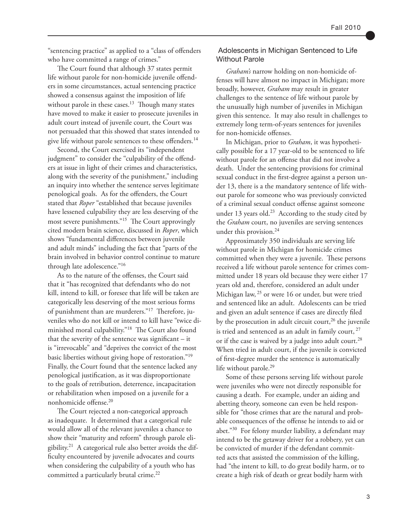"sentencing practice" as applied to a "class of offenders who have committed a range of crimes."

The Court found that although 37 states permit life without parole for non-homicide juvenile offenders in some circumstances, actual sentencing practice showed a consensus against the imposition of life without parole in these cases. $13$  Though many states have moved to make it easier to prosecute juveniles in adult court instead of juvenile court, the Court was not persuaded that this showed that states intended to give life without parole sentences to these offenders.<sup>14</sup>

Second, the Court exercised its "independent judgment" to consider the "culpability of the offenders at issue in light of their crimes and characteristics, along with the severity of the punishment," including an inquiry into whether the sentence serves legitimate penological goals. As for the offenders, the Court stated that *Roper* "established that because juveniles have lessened culpability they are less deserving of the most severe punishments."<sup>15</sup> The Court approvingly cited modern brain science, discussed in *Roper*, which shows "fundamental differences between juvenile and adult minds" including the fact that "parts of the brain involved in behavior control continue to mature through late adolescence."<sup>16</sup>

As to the nature of the offenses, the Court said that it "has recognized that defendants who do not kill, intend to kill, or foresee that life will be taken are categorically less deserving of the most serious forms of punishment than are murderers."<sup>17</sup> Therefore, juveniles who do not kill or intend to kill have "twice diminished moral culpability."<sup>18</sup> The Court also found that the severity of the sentence was significant – it is "irrevocable" and "deprives the convict of the most basic liberties without giving hope of restoration."<sup>19</sup> Finally, the Court found that the sentence lacked any penological justification, as it was disproportionate to the goals of retribution, deterrence, incapacitation or rehabilitation when imposed on a juvenile for a nonhomicide offense.<sup>20</sup>

The Court rejected a non-categorical approach as inadequate. It determined that a categorical rule would allow all of the relevant juveniles a chance to show their "maturity and reform" through parole eligibility.<sup>21</sup> A categorical rule also better avoids the difficulty encountered by juvenile advocates and courts when considering the culpability of a youth who has committed a particularly brutal crime.<sup>22</sup>

#### Adolescents in Michigan Sentenced to Life Without Parole

*Graham's* narrow holding on non-homicide offenses will have almost no impact in Michigan; more broadly, however, *Graham* may result in greater challenges to the sentence of life without parole by the unusually high number of juveniles in Michigan given this sentence. It may also result in challenges to extremely long term-of-years sentences for juveniles for non-homicide offenses.

In Michigan, prior to *Graham*, it was hypothetically possible for a 17 year-old to be sentenced to life without parole for an offense that did not involve a death. Under the sentencing provisions for criminal sexual conduct in the first-degree against a person under 13, there is a the mandatory sentence of life without parole for someone who was previously convicted of a criminal sexual conduct offense against someone under 13 years old.<sup>23</sup> According to the study cited by the *Graham* court, no juveniles are serving sentences under this provision. $^{24}$ 

Approximately 350 individuals are serving life without parole in Michigan for homicide crimes committed when they were a juvenile. These persons received a life without parole sentence for crimes committed under 18 years old because they were either 17 years old and, therefore, considered an adult under Michigan law,  $25$  or were 16 or under, but were tried and sentenced like an adult. Adolescents can be tried and given an adult sentence if cases are directly filed by the prosecution in adult circuit court,<sup>26</sup> the juvenile is tried and sentenced as an adult in family court,  $27$ or if the case is waived by a judge into adult court.<sup>28</sup> When tried in adult court, if the juvenile is convicted of first-degree murder the sentence is automatically life without parole.<sup>29</sup>

Some of these persons serving life without parole were juveniles who were not directly responsible for causing a death. For example, under an aiding and abetting theory, someone can even be held responsible for "those crimes that are the natural and probable consequences of the offense he intends to aid or abet."<sup>30</sup> For felony murder liability, a defendant may intend to be the getaway driver for a robbery, yet can be convicted of murder if the defendant committed acts that assisted the commission of the killing, had "the intent to kill, to do great bodily harm, or to create a high risk of death or great bodily harm with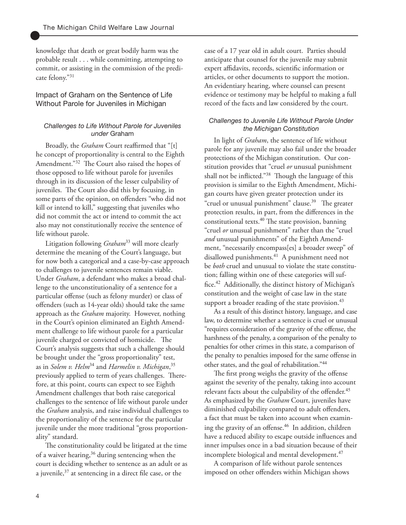knowledge that death or great bodily harm was the probable result . . . while committing, attempting to commit, or assisting in the commission of the predicate felony."<sup>31</sup>

#### Impact of Graham on the Sentence of Life Without Parole for Juveniles in Michigan

#### *Challenges to Life Without Parole for Juveniles under* Graham

Broadly, the *Graham* Court reaffirmed that "[t] he concept of proportionality is central to the Eighth Amendment."<sup>32</sup> The Court also raised the hopes of those opposed to life without parole for juveniles through in its discussion of the lesser culpability of juveniles. The Court also did this by focusing, in some parts of the opinion, on offenders "who did not kill or intend to kill," suggesting that juveniles who did not commit the act or intend to commit the act also may not constitutionally receive the sentence of life without parole.

Litigation following *Graham*<sup>33</sup> will more clearly determine the meaning of the Court's language, but for now both a categorical and a case-by-case approach to challenges to juvenile sentences remain viable. Under *Graham*, a defendant who makes a broad challenge to the unconstitutionality of a sentence for a particular offense (such as felony murder) or class of offenders (such as 14-year olds) should take the same approach as the *Graham* majority. However, nothing in the Court's opinion eliminated an Eighth Amendment challenge to life without parole for a particular juvenile charged or convicted of homicide. The Court's analysis suggests that such a challenge should be brought under the "gross proportionality" test, as in *Solem v. Helm*<sup>34</sup> and *Harmelin v. Michigan*, 35 previously applied to term of years challenges. Therefore, at this point, courts can expect to see Eighth Amendment challenges that both raise categorical challenges to the sentence of life without parole under the *Graham* analysis, and raise individual challenges to the proportionality of the sentence for the particular juvenile under the more traditional "gross proportionality" standard.

The constitutionality could be litigated at the time of a waiver hearing,<sup>36</sup> during sentencing when the court is deciding whether to sentence as an adult or as a juvenile,<sup>37</sup> at sentencing in a direct file case, or the

case of a 17 year old in adult court. Parties should anticipate that counsel for the juvenile may submit expert affidavits, records, scientific information or articles, or other documents to support the motion. An evidentiary hearing, where counsel can present evidence or testimony may be helpful to making a full record of the facts and law considered by the court.

#### *Challenges to Juvenile Life Without Parole Under the Michigan Constitution*

In light of *Graham*, the sentence of life without parole for any juvenile may also fail under the broader protections of the Michigan constitution. Our constitution provides that "cruel *or* unusual punishment shall not be inflicted."<sup>38</sup> Though the language of this provision is similar to the Eighth Amendment, Michigan courts have given greater protection under its "cruel or unusual punishment" clause.<sup>39</sup> The greater protection results, in part, from the differences in the constitutional texts.<sup>40</sup> The state provision, banning "cruel *or* unusual punishment" rather than the "cruel *and* unusual punishments" of the Eighth Amendment, "necessarily encompass[es] a broader sweep" of disallowed punishments.<sup>41</sup> A punishment need not be *both* cruel and unusual to violate the state constitution; falling within one of these categories will suffice.<sup>42</sup> Additionally, the distinct history of Michigan's constitution and the weight of case law in the state support a broader reading of the state provision. $43$ 

As a result of this distinct history, language, and case law, to determine whether a sentence is cruel or unusual "requires consideration of the gravity of the offense, the harshness of the penalty, a comparison of the penalty to penalties for other crimes in this state, a comparison of the penalty to penalties imposed for the same offense in other states, and the goal of rehabilitation."<sup>44</sup>

The first prong weighs the gravity of the offense against the severity of the penalty, taking into account relevant facts about the culpability of the offender.<sup>45</sup> As emphasized by the *Graham* Court, juveniles have diminished culpability compared to adult offenders, a fact that must be taken into account when examining the gravity of an offense.<sup>46</sup> In addition, children have a reduced ability to escape outside influences and inner impulses once in a bad situation because of their incomplete biological and mental development. 47

A comparison of life without parole sentences imposed on other offenders within Michigan shows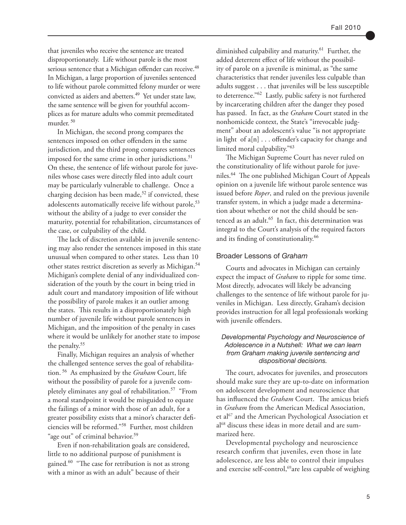that juveniles who receive the sentence are treated disproportionately. Life without parole is the most serious sentence that a Michigan offender can receive.<sup>48</sup> In Michigan, a large proportion of juveniles sentenced to life without parole committed felony murder or were convicted as aiders and abetters.<sup>49</sup> Yet under state law, the same sentence will be given for youthful accomplices as for mature adults who commit premeditated murder.<sup>50</sup>

In Michigan, the second prong compares the sentences imposed on other offenders in the same jurisdiction, and the third prong compares sentences imposed for the same crime in other jurisdictions.<sup>51</sup> On these, the sentence of life without parole for juveniles whose cases were directly filed into adult court may be particularly vulnerable to challenge. Once a charging decision has been made,<sup>52</sup> if convicted, these adolescents automatically receive life without parole,<sup>53</sup> without the ability of a judge to ever consider the maturity, potential for rehabilitation, circumstances of the case, or culpability of the child.

The lack of discretion available in juvenile sentencing may also render the sentences imposed in this state unusual when compared to other states. Less than 10 other states restrict discretion as severly as Michigan.<sup>54</sup> Michigan's complete denial of any individualized consideration of the youth by the court in being tried in adult court and mandatory imposition of life without the possibility of parole makes it an outlier among the states. This results in a disproportionately high number of juvenile life without parole sentences in Michigan, and the imposition of the penalty in cases where it would be unlikely for another state to impose the penalty.<sup>55</sup>

Finally, Michigan requires an analysis of whether the challenged sentence serves the goal of rehabilitation.<sup>56</sup> As emphasized by the *Graham* Court, life without the possibility of parole for a juvenile completely eliminates any goal of rehabilitation.<sup>57</sup> "From a moral standpoint it would be misguided to equate the failings of a minor with those of an adult, for a greater possibility exists that a minor's character deficiencies will be reformed."<sup>58</sup> Further, most children "age out" of criminal behavior.<sup>59</sup>

Even if non-rehabilitation goals are considered, little to no additional purpose of punishment is gained*.* <sup>60</sup>"The case for retribution is not as strong with a minor as with an adult" because of their

diminished culpability and maturity.<sup>61</sup> Further, the added deterrent effect of life without the possibility of parole on a juvenile is minimal, as "the same characteristics that render juveniles less culpable than adults suggest . . . that juveniles will be less susceptible to deterrence."<sup>62</sup> Lastly, public safety is not furthered by incarcerating children after the danger they posed has passed. In fact, as the *Graham* Court stated in the nonhomicide context, the State's "irrevocable judgment" about an adolescent's value "is not appropriate in light of a[n] . . . offender's capacity for change and limited moral culpability."<sup>63</sup>

The Michigan Supreme Court has never ruled on the constitutionality of life without parole for juveniles.<sup>64</sup> The one published Michigan Court of Appeals opinion on a juvenile life without parole sentence was issued before *Roper*, and ruled on the previous juvenile transfer system, in which a judge made a determination about whether or not the child should be sentenced as an adult. $65$  In fact, this determination was integral to the Court's analysis of the required factors and its finding of constitutionality.<sup>66</sup>

#### Broader Lessons of *Graham*

Courts and advocates in Michigan can certainly expect the impact of *Graham* to ripple for some time. Most directly, advocates will likely be advancing challenges to the sentence of life without parole for juveniles in Michigan. Less directly, Graham's decision provides instruction for all legal professionals working with juvenile offenders.

#### *Developmental Psychology and Neuroscience of Adolescence in a Nutshell: What we can learn from Graham making juvenile sentencing and dispositional decisions.*

The court, advocates for juveniles, and prosecutors should make sure they are up-to-date on information on adolescent development and neuroscience that has influenced the *Graham* Court. The amicus briefs in *Graham* from the American Medical Association, et al<sup>67</sup> and the American Psychological Association et al68 discuss these ideas in more detail and are summarized here.

Developmental psychology and neuroscience research confirm that juveniles, even those in late adolescence, are less able to control their impulses and exercise self-control, $69$ are less capable of weighing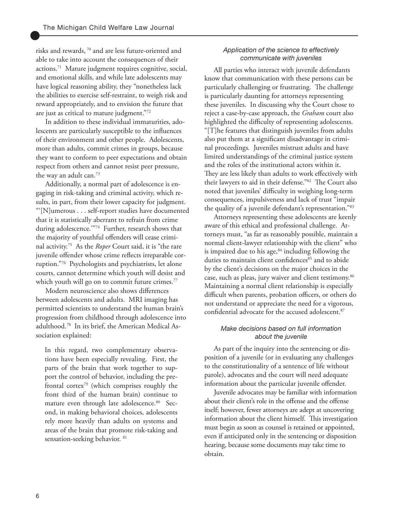risks and rewards, 70 and are less future-oriented and able to take into account the consequences of their actions.71 Mature judgment requires cognitive, social, and emotional skills, and while late adolescents may have logical reasoning ability, they "nonetheless lack the abilities to exercise self-restraint, to weigh risk and reward appropriately, and to envision the future that are just as critical to mature judgment."72

In addition to these individual immaturities, adolescents are particularly susceptible to the influences of their environment and other people. Adolescents, more than adults, commit crimes in groups, because they want to conform to peer expectations and obtain respect from others and cannot resist peer pressure, the way an adult can.<sup>73</sup>

Additionally, a normal part of adolescence is engaging in risk-taking and criminal activity, which results, in part, from their lower capacity for judgment. "'[N]umerous . . . self-report studies have documented that it is statistically aberrant to refrain from crime during adolescence.'"74 Further, research shows that the majority of youthful offenders will cease criminal activity.75 As the *Roper* Court said, it is "the rare juvenile offender whose crime reflects irreparable corruption."76 Psychologists and psychiatrists, let alone courts, cannot determine which youth will desist and which youth will go on to commit future crimes.<sup>77</sup>

Modern neuroscience also shows differences between adolescents and adults. MRI imaging has permitted scientists to understand the human brain's progression from childhood through adolescence into adulthood.78 In its brief, the American Medical Association explained:

In this regard, two complementary observations have been especially revealing. First, the parts of the brain that work together to support the control of behavior, including the prefrontal cortex79 (which comprises roughly the front third of the human brain) continue to mature even through late adolescence.<sup>80</sup> Second, in making behavioral choices, adolescents rely more heavily than adults on systems and areas of the brain that promote risk-taking and sensation-seeking behavior. <sup>81</sup>

#### *Application of the science to effectively communicate with juveniles*

All parties who interact with juvenile defendants know that communication with these persons can be particularly challenging or frustrating. The challenge is particularly daunting for attorneys representing these juveniles. In discussing why the Court chose to reject a case-by-case approach, the *Graham* court also highlighted the difficulty of representing adolescents. "[T]he features that distinguish juveniles from adults also put them at a significant disadvantage in criminal proceedings. Juveniles mistrust adults and have limited understandings of the criminal justice system and the roles of the institutional actors within it. They are less likely than adults to work effectively with their lawyers to aid in their defense."82 The Court also noted that juveniles' difficulty in weighing long-term consequences, impulsiveness and lack of trust "impair the quality of a juvenile defendant's representation."83

Attorneys representing these adolescents are keenly aware of this ethical and professional challenge. Attorneys must, "as far as reasonably possible, maintain a normal client-lawyer relationship with the client" who is impaired due to his age, $84$  including following the duties to maintain client confidences<sup>85</sup> and to abide by the client's decisions on the major choices in the case, such as pleas, jury waiver and client testimony.<sup>86</sup> Maintaining a normal client relationship is especially difficult when parents, probation officers, or others do not understand or appreciate the need for a vigorous, confidential advocate for the accused adolescent.<sup>87</sup>

#### *Make decisions based on full information about the juvenile*

As part of the inquiry into the sentencing or disposition of a juvenile (or in evaluating any challenges to the constitutionality of a sentence of life without parole), advocates and the court will need adequate information about the particular juvenile offender.

Juvenile advocates may be familiar with information about their client's role in the offense and the offense itself; however, fewer attorneys are adept at uncovering information about the client himself. This investigation must begin as soon as counsel is retained or appointed, even if anticipated only in the sentencing or disposition hearing, because some documents may take time to obtain.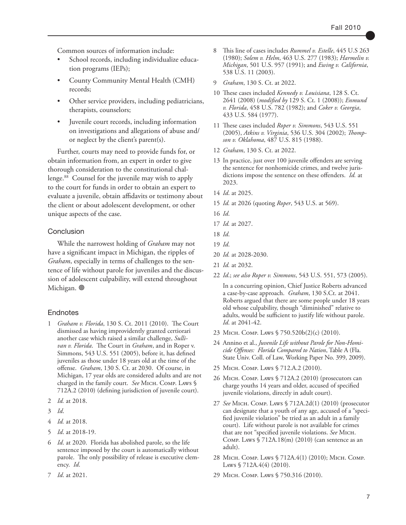Common sources of information include:

- School records, including individualize education programs (IEPs);
- County Community Mental Health (CMH) records;
- Other service providers, including pediatricians, therapists, counselors;
- Juvenile court records, including information on investigations and allegations of abuse and/ or neglect by the client's parent(s).

Further, courts may need to provide funds for, or obtain information from, an expert in order to give thorough consideration to the constitutional challenge.<sup>88</sup> Counsel for the juvenile may wish to apply to the court for funds in order to obtain an expert to evaluate a juvenile, obtain affidavits or testimony about the client or about adolescent development, or other unique aspects of the case.

#### Conclusion

While the narrowest holding of *Graham* may not have a significant impact in Michigan, the ripples of *Graham*, especially in terms of challenges to the sentence of life without parole for juveniles and the discussion of adolescent culpability, will extend throughout Michigan. <sup>@</sup>

#### **Endnotes**

- 1 *Graham v. Florida*, 130 S. Ct. 2011 (2010). The Court dismissed as having improvidently granted certiorari another case which raised a similar challenge, *Sullivan v. Florida*. The Court in *Graham*, and in Roper v. Simmons, 543 U.S. 551 (2005), before it, has defined juveniles as those under 18 years old at the time of the offense. *Graham*, 130 S. Ct. at 2030. Of course, in Michigan, 17 year olds are considered adults and are not charged in the family court. *See* MICH. COMP. LAWS § 712A.2 (2010) (defining jurisdiction of juvenile court).
- 2 *Id.* at 2018.
- 3 *Id*.
- 4 *Id.* at 2018.
- 5 *Id*. at 2018-19.
- 6 *Id*. at 2020. Florida has abolished parole, so the life sentence imposed by the court is automatically without parole. The only possibility of release is executive clemency. *Id*.
- 7 *Id*. at 2021.
- 8 This line of cases includes *Rummel v. Estelle*, 445 U.S 263 (1980); *Solem v. Helm*, 463 U.S. 277 (1983); *Harmelin v. Michigan*, 501 U.S. 957 (1991); and *Ewing v. California*, 538 U.S. 11 (2003).
- 9 *Graham*, 130 S. Ct. at 2022.
- 10 These cases included *Kennedy v. Louisiana*, 128 S. Ct. 2641 (2008) (*modified by* 129 S. Ct. 1 (2008)); *Enmund v. Florida*, 458 U.S. 782 (1982); and *Coker v. Georgia*, 433 U.S. 584 (1977).
- 11 These cases included *Roper v. Simmons*, 543 U.S. 551 (2005), *Atkins v. Virginia*, 536 U.S. 304 (2002); *Thompson v. Oklahoma*, 487 U.S. 815 (1988).
- 12 *Graham*, 130 S. Ct. at 2022.
- 13 In practice, just over 100 juvenile offenders are serving the sentence for nonhomicide crimes, and twelve jurisdictions impose the sentence on these offenders. *Id.* at 2023.
- 14 *Id*. at 2025.
- 15 *Id.* at 2026 (quoting *Roper*, 543 U.S. at 569).
- 16 *Id*.
- 17 *Id.* at 2027.
- 18 *Id*.
- 19 *Id*.
- 20 *Id.* at 2028-2030.
- 21 *Id.* at 2032.
- 22 *Id*.; *see also Roper v. Simmons*, 543 U.S. 551, 573 (2005).

In a concurring opinion, Chief Justice Roberts advanced a case-by-case approach. *Graham*, 130 S.Ct. at 2041. Roberts argued that there are some people under 18 years old whose culpability, though "diminished" relative to adults, would be sufficient to justify life without parole. *Id*. at 2041-42.

- 23 Mich. Comp. Laws § 750.520b(2)(c) (2010).
- 24 Annino et al., *Juvenile Life without Parole for Non-Homicide Offenses: Florida Compared to Nation*, Table A (Fla. State Univ. Coll. of Law, Working Paper No. 399, 2009).
- 25 Місн. Сомр. Laws § 712.A.2 (2010).
- 26 Mich. Comp. Laws § 712A.2 (2010) (prosecutors can charge youths 14 years and older, accused of specified juvenile violations, directly in adult court).
- 27 *See* Mich. Comp. Laws § 712A.2d(1) (2010) (prosecutor can designate that a youth of any age, accused of a "specified juvenile violation" be tried as an adult in a family court). Life without parole is not available for crimes that are not "specified juvenile violations. *See* Mich. COMP. LAWS  $\sqrt{712A.18(m)}$  (2010) (can sentence as an adult).
- 28 Mich. Comp. Laws § 712A.4(1) (2010); Mich. Comp. Laws § 712A.4(4) (2010).
- 29 Mich. Comp. Laws § 750.316 (2010).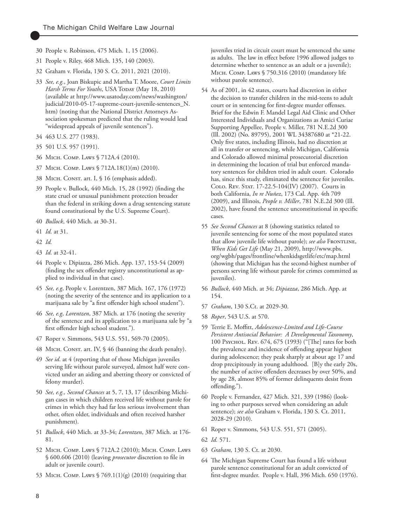- 30 People v. Robinson, 475 Mich. 1, 15 (2006).
- 31 People v. Riley, 468 Mich. 135, 140 (2003).
- 32 Graham v. Florida, 130 S. Ct. 2011, 2021 (2010).
- 33 *See, e.g.*, Joan Biskupic and Martha T. Moore, *Court Limits Harsh Terms For Youths*, USA TODAY (May 18, 2010) (available at http://www.usatoday.com/news/washington/ judicial/2010-05-17-supreme-court-juvenile-sentences\_N. htm) (noting that the National District Attorneys Association spokesman predicted that the ruling would lead "widespread appeals of juvenile sentences").
- 34 463 U.S. 277 (1983).
- 35 501 U.S. 957 (1991).
- 36 Mich. Comp. Laws § 712A.4 (2010).
- 37 Mich. Comp. Laws § 712A.18(1)(m) (2010).
- 38 MICH. CONST. art. I, § 16 (emphasis added).
- 39 People v. Bullock, 440 Mich. 15, 28 (1992) (finding the state cruel or unusual punishment protection broader than the federal in striking down a drug sentencing statute found constitutional by the U.S. Supreme Court).
- 40 *Bullock*, 440 Mich. at 30-31.
- 41 *Id.* at 31.
- 42 *Id.*
- 43 *Id.* at 32-41.
- 44 People v. Dipiazza, 286 Mich. App. 137, 153-54 (2009) (finding the sex offender registry unconstitutional as applied to individual in that case).
- 45 *See, e.g*, People v. Lorentzen, 387 Mich. 167, 176 (1972) (noting the severity of the sentence and its application to a marijuana sale by "a first offender high school student").
- 46 *See, e.g*, *Lorentzen*, 387 Mich. at 176 (noting the severity of the sentence and its application to a marijuana sale by "a first offender high school student.").
- 47 Roper v. Simmons, 543 U.S. 551, 569-70 (2005).
- 48 MICH. CONST. art. IV, § 46 (banning the death penalty).
- 49 *See id*. at 4 (reporting that of those Michigan juveniles serving life without parole surveyed, almost half were convicted under an aiding and abetting theory or convicted of felony murder).
- 50 *See, e.g., Second Chances* at 5, 7, 13, 17 (describing Michigan cases in which children received life without parole for crimes in which they had far less serious involvement than other, often older, individuals and often received harsher punishment).
- 51 *Bullock*, 440 Mich. at 33-34; *Lorentzen*, 387 Mich. at 176- 81.
- 52 Mich. Comp. Laws § 712A.2 (2010); Mich. Comp. Laws § 600.606 (2010) (leaving *prosecutor* discretion to file in adult or juvenile court).
- 53 Mich. Comp. Laws § 769.1(1)(g) (2010) (requiring that

juveniles tried in circuit court must be sentenced the same as adults. The law in effect before 1996 allowed judges to determine whether to sentence as an adult or a juvenile); Mich. Comp. Laws § 750.316 (2010) (mandatory life without parole sentence).

- 54 As of 2001, in 42 states, courts had discretion in either the decision to transfer children in the mid-teens to adult court or in sentencing for first-degree murder offenses. Brief for the Edwin F. Mandel Legal Aid Clinic and Other Interested Individuals and Organizations as Amici Curiae Supporting Appellee, People v. Miller, 781 N.E.2d 300 (Ill. 2002) (No. 89795), 2001 WL 34387680 at \*21-22. Only five states, including Illinois, had no discretion at all in transfer or sentencing, while Michigan, California and Colorado allowed minimal prosecutorial discretion in determining the location of trial but enforced mandatory sentences for children tried in adult court. Colorado has, since this study, eliminated the sentence for juveniles. COLO. REV. STAT. 17-22.5-104(IV) (2007). Courts in both California, *In re Nuñez*, 173 Cal. App. 4th 709 (2009), and Illinois, *People v. Miller*, 781 N.E.2d 300 (Ill. 2002), have found the sentence unconstitutional in specific cases.
- 55 *See Second Chances* at 8 (showing statistics related to juvenile sentencing for some of the most populated states that allow juvenile life without parole); see also FRONTLINE, *When Kids Get Life* (May 21, 2009), http://www.pbs. org/wgbh/pages/frontline/whenkidsgetlife/etc/map.html (showing that Michigan has the second-highest number of persons serving life without parole for crimes committed as juveniles).
- 56 *Bullock*, 440 Mich. at 34; *Dipiazza*, 286 Mich. App. at 154.
- 57 *Graham*, 130 S.Ct. at 2029-30.
- 58 *Roper*, 543 U.S. at 570.
- 59 Terrie E. Moffitt, *Adolescence-Limited and Life-Course Persistent Antisocial Behavior: A Developmental Taxonomy*, 100 Psychol. Rev. 674, 675 (1993) ("[The] rates for both the prevalence and incidence of offending appear highest during adolescence; they peak sharply at about age 17 and drop precipitously in young adulthood. [B]y the early 20s, the number of active offenders decreases by over 50%, and by age 28, almost 85% of former delinquents desist from offending.").
- 60 People v. Fernandez, 427 Mich. 321, 339 (1986) (looking to other purposes served when considering an adult sentence); *see also* Graham v. Florida, 130 S. Ct. 2011, 2028-29 (2010).
- 61 Roper v. Simmons, 543 U.S. 551, 571 (2005).
- 62 *Id.* 571.
- 63 *Graham,* 130 S. Ct. at 2030.
- 64 The Michigan Supreme Court has found a life without parole sentence constitutional for an adult convicted of first-degree murder. People v. Hall, 396 Mich. 650 (1976).